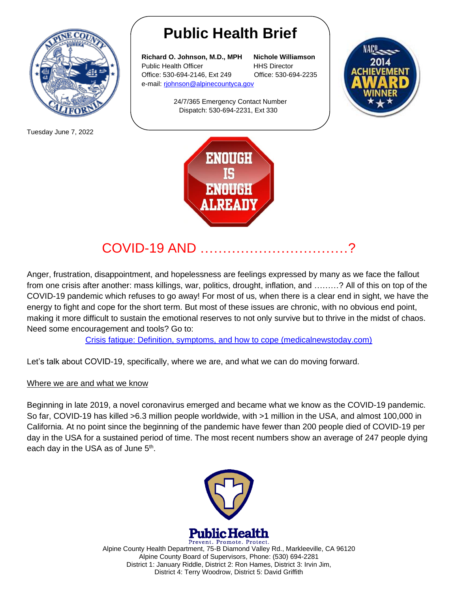

Tuesday June 7, 2022

## **Public Health Brief**

**Richard O. Johnson, M.D., MPH Nichole Williamson** Public Health Officer **HHS Director** Office: 530-694-2146, Ext 249 Office: 530-694-2235 e-mail: [rjohnson@alpinecountyca.gov](mailto:rjohnson@alpinecountyca.gov) 

> 24/7/365 Emergency Contact Number Dispatch: 530-694-2231, Ext 330





## $COVID-19$  AND  $\ldots$

Anger, frustration, disappointment, and hopelessness are feelings expressed by many as we face the fallout from one crisis after another: mass killings, war, politics, drought, inflation, and ………? All of this on top of the COVID-19 pandemic which refuses to go away! For most of us, when there is a clear end in sight, we have the energy to fight and cope for the short term. But most of these issues are chronic, with no obvious end point, making it more difficult to sustain the emotional reserves to not only survive but to thrive in the midst of chaos. Need some encouragement and tools? Go to:

[Crisis fatigue: Definition, symptoms, and how to cope \(medicalnewstoday.com\)](https://www.medicalnewstoday.com/articles/crisis-fatigue)

Let's talk about COVID-19, specifically, where we are, and what we can do moving forward.

## Where we are and what we know

Beginning in late 2019, a novel coronavirus emerged and became what we know as the COVID-19 pandemic. So far, COVID-19 has killed >6.3 million people worldwide, with >1 million in the USA, and almost 100,000 in California. At no point since the beginning of the pandemic have fewer than 200 people died of COVID-19 per day in the USA for a sustained period of time. The most recent numbers show an average of 247 people dying each day in the USA as of June 5<sup>th</sup>.



Prevent. Promote. Protect. Alpine County Health Department, 75-B Diamond Valley Rd., Markleeville, CA 96120 Alpine County Board of Supervisors, Phone: (530) 694-2281 District 1: January Riddle, District 2: Ron Hames, District 3: Irvin Jim, District 4: Terry Woodrow, District 5: David Griffith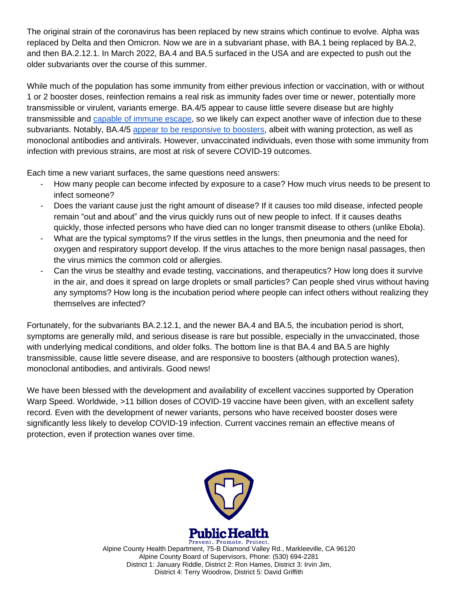The original strain of the coronavirus has been replaced by new strains which continue to evolve. Alpha was replaced by Delta and then Omicron. Now we are in a subvariant phase, with BA.1 being replaced by BA.2, and then BA.2.12.1. In March 2022, BA.4 and BA.5 surfaced in the USA and are expected to push out the older subvariants over the course of this summer.

While much of the population has some immunity from either previous infection or vaccination, with or without 1 or 2 booster doses, reinfection remains a real risk as immunity fades over time or newer, potentially more transmissible or virulent, variants emerge. BA.4/5 appear to cause little severe disease but are highly transmissible and [capable of immune escape,](https://r20.rs6.net/tn.jsp?f=001yZZKexxqQ4trSzmKaucnebxyUC9j-V_1LzYSSZgYpO_w2Ya5snUe1DiqYoRmyCQddO0ddp6anEz_snmjPgaNZRj5126JtXqNzuR5mLKHDiV_UsGlQ_KNbYdrl0SNbJOuare9o3E2sjFjm2uMyGSGHfXOVoImncf-tts37IqmLixwsWnrwZ1z-Os4maunPaM_4qSP4ljGDHQ=&c=o1PN_oSNZUHxbC-Fh5-pXiwQZIsY7jjmFR189Nl4-Vboz7_-765u4g==&ch=DDGZG9sJeMw5nwRDOGNmaqNuzgqaxuIFrkChc8SLcZxEDQRjOYX2GA==) so we likely can expect another wave of infection due to these subvariants. Notably, BA.4/5 [appear to be responsive to boosters,](https://r20.rs6.net/tn.jsp?f=001yZZKexxqQ4trSzmKaucnebxyUC9j-V_1LzYSSZgYpO_w2Ya5snUe1DiqYoRmyCQddhcTUMeKwmSYl3Ale682nU7qK6J411bFrTqg_Z5WvfjgyKqjnUdZZG7DAmnqi9ZcHfKl1FsSoQumC1iSYjRlXq-euR0u6uS_1k18FsFcDoBbXwAUznh-1Y0hmq9aXcTA&c=o1PN_oSNZUHxbC-Fh5-pXiwQZIsY7jjmFR189Nl4-Vboz7_-765u4g==&ch=DDGZG9sJeMw5nwRDOGNmaqNuzgqaxuIFrkChc8SLcZxEDQRjOYX2GA==) albeit with waning protection, as well as monoclonal antibodies and antivirals. However, unvaccinated individuals, even those with some immunity from infection with previous strains, are most at risk of severe COVID-19 outcomes.

Each time a new variant surfaces, the same questions need answers:

- How many people can become infected by exposure to a case? How much virus needs to be present to infect someone?
- Does the variant cause just the right amount of disease? If it causes too mild disease, infected people remain "out and about" and the virus quickly runs out of new people to infect. If it causes deaths quickly, those infected persons who have died can no longer transmit disease to others (unlike Ebola).
- What are the typical symptoms? If the virus settles in the lungs, then pneumonia and the need for oxygen and respiratory support develop. If the virus attaches to the more benign nasal passages, then the virus mimics the common cold or allergies.
- Can the virus be stealthy and evade testing, vaccinations, and therapeutics? How long does it survive in the air, and does it spread on large droplets or small particles? Can people shed virus without having any symptoms? How long is the incubation period where people can infect others without realizing they themselves are infected?

Fortunately, for the subvariants BA.2.12.1, and the newer BA.4 and BA.5, the incubation period is short, symptoms are generally mild, and serious disease is rare but possible, especially in the unvaccinated, those with underlying medical conditions, and older folks. The bottom line is that BA.4 and BA.5 are highly transmissible, cause little severe disease, and are responsive to boosters (although protection wanes), monoclonal antibodies, and antivirals. Good news!

We have been blessed with the development and availability of excellent vaccines supported by Operation Warp Speed. Worldwide, >11 billion doses of COVID-19 vaccine have been given, with an excellent safety record. Even with the development of newer variants, persons who have received booster doses were significantly less likely to develop COVID-19 infection. Current vaccines remain an effective means of protection, even if protection wanes over time.



Prevent. Promote. Protect. Alpine County Health Department, 75-B Diamond Valley Rd., Markleeville, CA 96120 Alpine County Board of Supervisors, Phone: (530) 694-2281 District 1: January Riddle, District 2: Ron Hames, District 3: Irvin Jim, District 4: Terry Woodrow, District 5: David Griffith